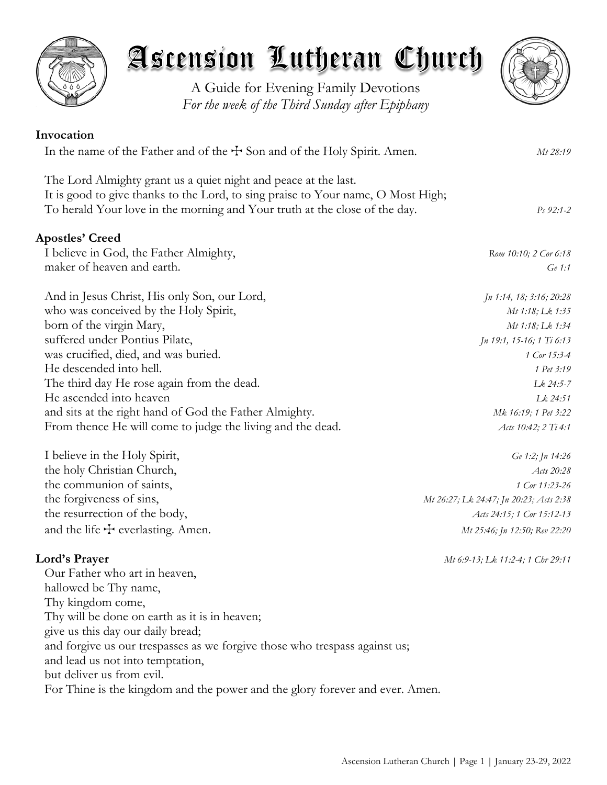

A Guide for Evening Family Devotions *For the week of the Third Sunday after Epiphany*



| Invocation                                                                                                                                                                                                                        |                           |
|-----------------------------------------------------------------------------------------------------------------------------------------------------------------------------------------------------------------------------------|---------------------------|
| In the name of the Father and of the $\pm$ Son and of the Holy Spirit. Amen.                                                                                                                                                      | Mt 28:19                  |
| The Lord Almighty grant us a quiet night and peace at the last.<br>It is good to give thanks to the Lord, to sing praise to Your name, O Most High;<br>To herald Your love in the morning and Your truth at the close of the day. | $Ps\,92:1-2$              |
| <b>Apostles' Creed</b>                                                                                                                                                                                                            |                           |
| I believe in God, the Father Almighty,                                                                                                                                                                                            | Rom 10:10; 2 Cor 6:18     |
| maker of heaven and earth.                                                                                                                                                                                                        | Ge 1:1                    |
| And in Jesus Christ, His only Son, our Lord,                                                                                                                                                                                      | Jn 1:14, 18; 3:16; 20:28  |
| who was conceived by the Holy Spirit,                                                                                                                                                                                             | Mt 1:18; Lk 1:35          |
| born of the virgin Mary,                                                                                                                                                                                                          | Mt 1:18; Lk 1:34          |
| suffered under Pontius Pilate,                                                                                                                                                                                                    | Jn 19:1, 15-16; 1 Ti 6:13 |
| was crucified, died, and was buried.                                                                                                                                                                                              | 1 Cor 15:3-4              |
| He descended into hell.                                                                                                                                                                                                           | 1 Pet 3:19                |
| The third day He rose again from the dead.                                                                                                                                                                                        | Lk 24:5-7                 |
| He ascended into heaven                                                                                                                                                                                                           | $Lk$ 24:51                |
| and sits at the right hand of God the Father Almighty.                                                                                                                                                                            | Mk 16:19; 1 Pet 3:22      |
| From thence He will come to judge the living and the dead.                                                                                                                                                                        | Acts 10:42; 2 Ti 4:1      |
| I believe in the Holy Spirit,                                                                                                                                                                                                     | Ge 1:2; Jn 14:26          |

the holy Christian Church, *Acts 20:28* the communion of saints, *1 Cor 11:23-26* the forgiveness of sins, *Mt 26:27; Lk 24:47; Jn 20:23; Acts 2:38* the resurrection of the body, *Acts 24:15; 1 Cor 15:12-13* and the life  $\pm$  everlasting. Amen. *Mt 25:46; Jn 12:50; Rev 22:20* 

# **Lord's Prayer** *Mt 6:9-13; Lk 11:2-4; 1 Chr 29:11*

Our Father who art in heaven, hallowed be Thy name, Thy kingdom come, Thy will be done on earth as it is in heaven; give us this day our daily bread; and forgive us our trespasses as we forgive those who trespass against us; and lead us not into temptation, but deliver us from evil. For Thine is the kingdom and the power and the glory forever and ever. Amen.